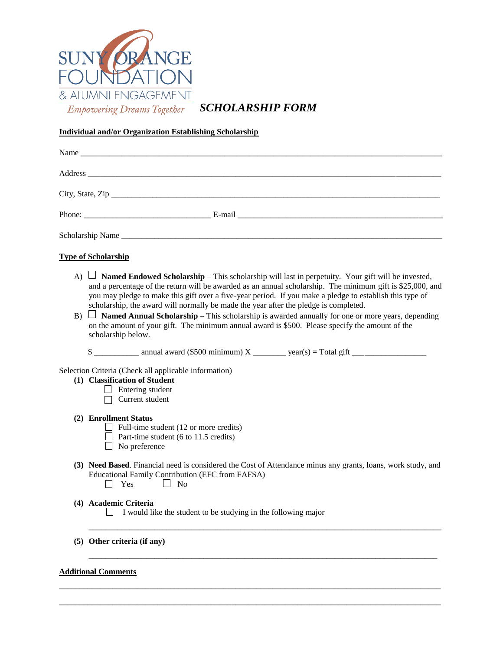

*SCHOLARSHIP FORM*

## **Individual and/or Organization Establishing Scholarship**

| City, State, Zip                                                                                                                                                                                                                                                                                                                                                                                                                                                                                                                                                                                                                                                                   |
|------------------------------------------------------------------------------------------------------------------------------------------------------------------------------------------------------------------------------------------------------------------------------------------------------------------------------------------------------------------------------------------------------------------------------------------------------------------------------------------------------------------------------------------------------------------------------------------------------------------------------------------------------------------------------------|
|                                                                                                                                                                                                                                                                                                                                                                                                                                                                                                                                                                                                                                                                                    |
|                                                                                                                                                                                                                                                                                                                                                                                                                                                                                                                                                                                                                                                                                    |
| <b>Type of Scholarship</b>                                                                                                                                                                                                                                                                                                                                                                                                                                                                                                                                                                                                                                                         |
| A) $\Box$ <b>Named Endowed Scholarship</b> – This scholarship will last in perpetuity. Your gift will be invested,<br>and a percentage of the return will be awarded as an annual scholarship. The minimum gift is \$25,000, and<br>you may pledge to make this gift over a five-year period. If you make a pledge to establish this type of<br>scholarship, the award will normally be made the year after the pledge is completed.<br>B) $\Box$ <b>Named Annual Scholarship</b> – This scholarship is awarded annually for one or more years, depending<br>on the amount of your gift. The minimum annual award is \$500. Please specify the amount of the<br>scholarship below. |
|                                                                                                                                                                                                                                                                                                                                                                                                                                                                                                                                                                                                                                                                                    |
| Selection Criteria (Check all applicable information)<br>(1) Classification of Student<br>$\Box$ Entering student<br>$\Box$ Current student                                                                                                                                                                                                                                                                                                                                                                                                                                                                                                                                        |
| (2) Enrollment Status<br>$\Box$ Full-time student (12 or more credits)<br>$\Box$ Part-time student (6 to 11.5 credits)<br>$\Box$ No preference                                                                                                                                                                                                                                                                                                                                                                                                                                                                                                                                     |
| (3) Need Based. Financial need is considered the Cost of Attendance minus any grants, loans, work study, and<br><b>Educational Family Contribution (EFC from FAFSA)</b><br>$\Box$ Yes $\Box$ No                                                                                                                                                                                                                                                                                                                                                                                                                                                                                    |
| (4) Academic Criteria<br>$\Box$ I would like the student to be studying in the following major                                                                                                                                                                                                                                                                                                                                                                                                                                                                                                                                                                                     |
| (5) Other criteria (if any)                                                                                                                                                                                                                                                                                                                                                                                                                                                                                                                                                                                                                                                        |
| <b>Additional Comments</b>                                                                                                                                                                                                                                                                                                                                                                                                                                                                                                                                                                                                                                                         |

\_\_\_\_\_\_\_\_\_\_\_\_\_\_\_\_\_\_\_\_\_\_\_\_\_\_\_\_\_\_\_\_\_\_\_\_\_\_\_\_\_\_\_\_\_\_\_\_\_\_\_\_\_\_\_\_\_\_\_\_\_\_\_\_\_\_\_\_\_\_\_\_\_\_\_\_\_\_\_\_\_\_\_\_\_\_\_\_\_\_\_\_\_ \_\_\_\_\_\_\_\_\_\_\_\_\_\_\_\_\_\_\_\_\_\_\_\_\_\_\_\_\_\_\_\_\_\_\_\_\_\_\_\_\_\_\_\_\_\_\_\_\_\_\_\_\_\_\_\_\_\_\_\_\_\_\_\_\_\_\_\_\_\_\_\_\_\_\_\_\_\_\_\_\_\_\_\_\_\_\_\_\_\_\_\_\_